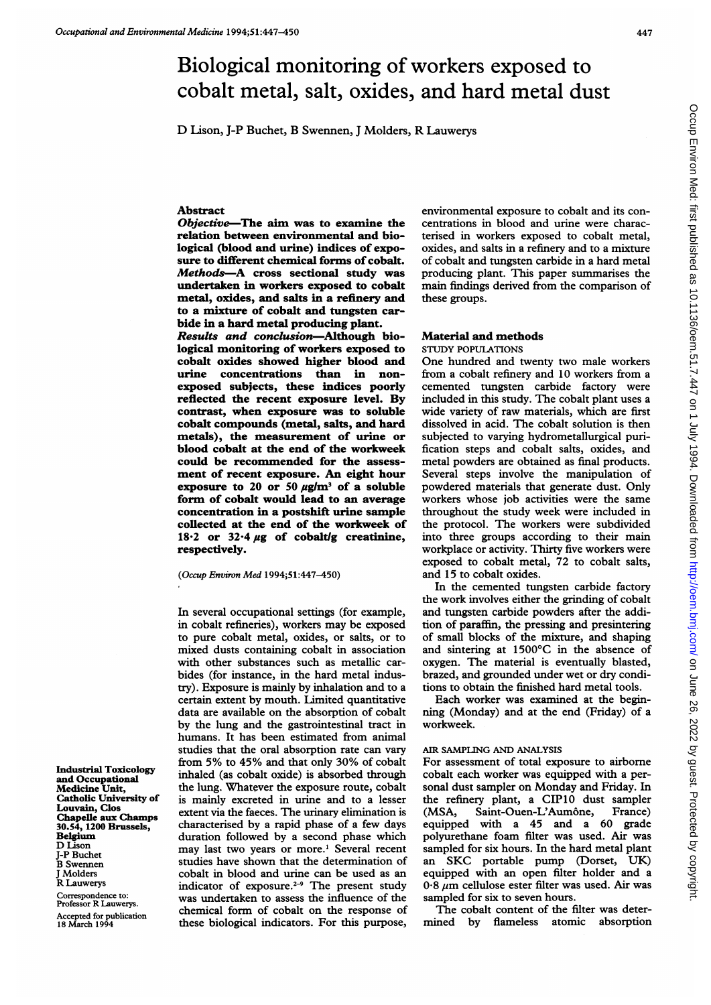# Biological monitoring of workers exposed to cobalt metal, salt, oxides, and hard metal dust

D Lison, J-P Buchet, B Swennen, <sup>J</sup> Molders, R Lauwerys

#### Abstract

Objective-The aim was to examine the relation between environmental and biological (blood and urine) indices of exposure to different chemical forms of cobalt. Methods-A cross sectional study was undertaken in workers exposed to cobalt metal, oxides, and salts in a refinery and to a mixture of cobalt and tungsten carbide in a hard metal producing plant.

Results and conclusion-Although biological monitoring of workers exposed to cobalt oxides showed higher blood and urine concentrations than in nonexposed subjects, these indices poorly reflected the recent exposure level. By contrast, when exposure was to soluble cobalt compounds (metal, salts, and hard metals), the measurement of urine or blood cobalt at the end of the workweek could be recommended for the assessment of recent exposure. An eight hour exposure to 20 or 50  $\mu$ g/m<sup>3</sup> of a soluble form of cobalt would lead to an average concentration in a postshift urine sample collected at the end of the workweek of 18.2 or 32.4  $\mu$ g of cobalt/g creatinine, respectively.

(Occup Environ Med 1994;51:447-450)

In several occupational settings (for example, in cobalt refineries), workers may be exposed to pure cobalt metal, oxides, or salts, or to mixed dusts containing cobalt in association with other substances such as metallic carbides (for instance, in the hard metal industry). Exposure is mainly by inhalation and to a certain extent by mouth. Limited quantitative data are available on the absorption of cobalt by the lung and the gastrointestinal tract in humans. It has been estimated from animal studies that the oral absorption rate can vary from 5% to 45% and that only 30% of cobalt inhaled (as cobalt oxide) is absorbed through the lung. Whatever the exposure route, cobalt is mainly excreted in urine and to a lesser extent via the faeces. The urinary elimination is characterized by a rapid phase of a few days duration followed by a second phase which may last two years or more.' Several recent studies have shown that the determination of cobalt in blood and urine can be used as an indicator of exposure.<sup>2-9</sup> The present study was undertaken to assess the influence of the chemical form of cobalt on the response of these biological indicators. For this purpose,

environmental exposure to cobalt and its concentrations in blood and urine were characterised in workers exposed to cobalt metal, oxides, and salts in a refinery and to a mixture of cobalt and tungsten carbide in a hard metal producing plant. This paper summarises the main findings derived from the comparison of these groups.

# Material and methods

STUDY POPULATIONS

One hundred and twenty two male workers from a cobalt refinery and 10 workers from a cemented tungsten carbide factory were included in this study. The cobalt plant uses a wide variety of raw materials, which are first dissolved in acid. The cobalt solution is then subjected to varying hydrometallurgical purification steps and cobalt salts, oxides, and metal powders are obtained as final products. Several steps involve the manipulation of powdered materials that generate dust. Only workers whose job activities were the same throughout the study week were included in the protocol. The workers were subdivided into three groups according to their main workplace or activity. Thirty five workers were exposed to cobalt metal, 72 to cobalt salts, and 15 to cobalt oxides.

In the cemented tungsten carbide factory the work involves either the grinding of cobalt and tungsten carbide powders after the addition of paraffin, the pressing and presintering of small blocks of the mixture, and shaping and sintering at 1500'C in the absence of oxygen. The material is eventually blasted, brazed, and grounded under wet or dry conditions to obtain the finished hard metal tools.

Each worker was examined at the beginning (Monday) and at the end (Friday) of a workweek.

### AIR SAMPLING AND ANALYSIS

For assessment of total exposure to airborne cobalt each worker was equipped with a personal dust sampler on Monday and Friday. In the refinery plant, a CIP10 dust sampler<br>(MSA, Saint-Ouen-L'Aumône, France) (MSA, Saint-Ouen-L'Aumône, equipped with a 45 and a 60 grade polyurethane foam filter was used. Air was sampled for six hours. In the hard metal plant an SKC portable pump (Dorset, UK) equipped with an open filter holder and a  $0.8 \mu m$  cellulose ester filter was used. Air was sampled for six to seven hours.

The cobalt content of the filter was determined by flameless atomic absorption

Industrial Toxicology and Occupational Medicine Unit, Catholic University of Louvain, Clos Chapelle aux Champs 30.54, 1200 Brussels, Belgium D Lison J-P Buchet B Swennen Molders R Lauwerys Correspondence to: Professor R Lauwerys. Accepted for publication 18 March 199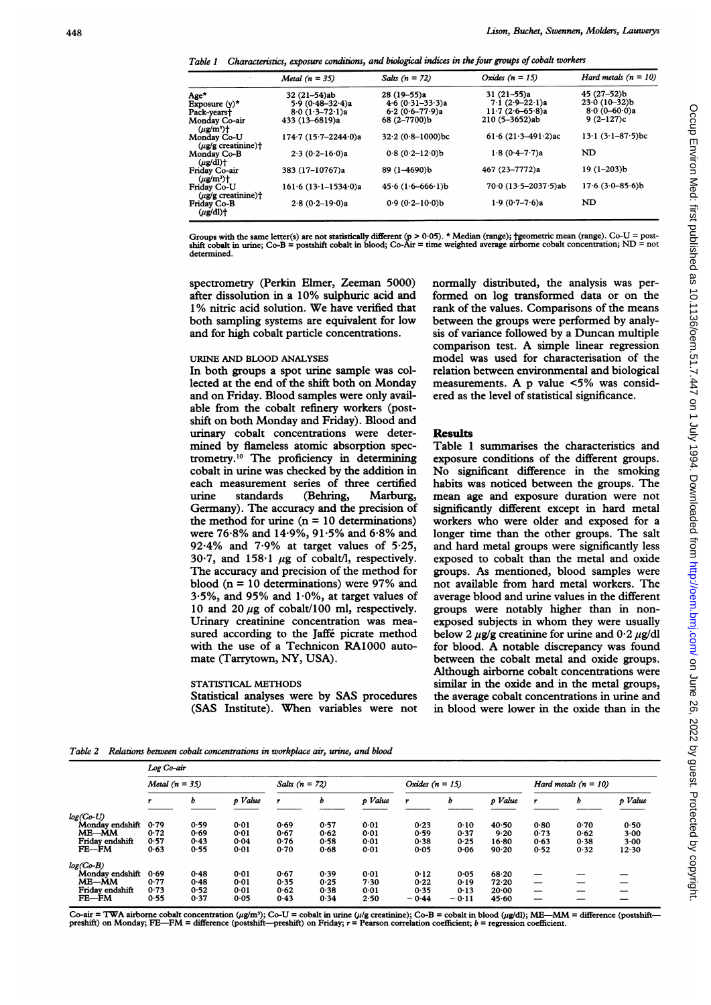Table 1 Characteristics, exposure conditions, and biological indices in the four groups of cobalt workers

|                                                              | Metal $(n = 35)$                       | Salts $(n = 72)$                     | Oxides $(n = 15)$                | Hard metals $(n = 10)$        |
|--------------------------------------------------------------|----------------------------------------|--------------------------------------|----------------------------------|-------------------------------|
| Age*<br>Exposure $(y)^*$                                     | $32(21-54)$ ab<br>$5.9 (0.48 - 32.4)a$ | $28(19-55)a$<br>$4.6 (0.31 - 33.3)a$ | $31(21-55)a$<br>$7.1(2.9-22.1)a$ | 45 (27–52)b<br>$23.0(10-32)b$ |
| Pack-years†                                                  | $8.0(1.3 - 72.1)a$                     | $6.2(0.6 - 77.9)a$                   | $11.7(2.6-65.8)a$                | $8.0 (0 - 60.0)a$             |
| Monday Co-air<br>$(\mu g/m^3)$ +                             | 433 (13-6819)a                         | 68 (2-7700)b                         | 210 (5-3652)ab                   | $9(2-127)c$                   |
| Mondav Co-U<br>$(\mu \mathbf{g}/\mathbf{g})$ creatinine) †   | $174.7(15.7 - 2244.0)a$                | $32.2 (0.8 - 1000)$ bc               | $61.6(21.3 - 491.2)$ ac          | $13.1(3.1 - 87.5)$ bc         |
| Monday Co-B<br>$(\mu$ g/dl)†                                 | $2.3(0.2 - 16.0)a$                     | $0.8(0.2 - 12.0)b$                   | $1.8(0.4 - 7.7)a$                | <b>ND</b>                     |
| Friday Co-air<br>$(\mu\mathbf{g}/\mathbf{m}^3)$ <sup>+</sup> | 383 (17-10767)a                        | 89 (1-4690)b                         | 467 (23-7772)a                   | $19(1-203)b$                  |
| Friday Co-U<br>$(\mu$ g/g creatinine) $\dagger$              | $161.6(13.1 - 1534.0)a$                | $45.6(1.6-666.1)b$                   | $70.0(13.5 - 2037.5)$ ab         | $17.6(3.0 - 85.6)b$           |
| Friday Co-B<br>$(\mu g/dl)$ +                                | $2.8(0.2 - 19.0)a$                     | $0.9(0.2 - 10.0)$ b                  | $1.9(0.7 - 7.6)a$                | ND                            |

Groups with the same letter(s) are not statistically different (p > 0·05). \* Median (range); †geometric mean (range). Co-U = post-<br>shift cobalt in urine; Co-B = postshift cobalt in blood; Co-Air = time weighted average air determined.

spectrometry (Perkin Elmer, Zeeman 5000) after dissolution in a 10% sulphuric acid and 1% nitric acid solution. We have verified that both sampling systems are equivalent for low and for high cobalt particle concentrations.

## URINE AND BLOOD ANALYSES

In both groups a spot urine sample was collected at the end of the shift both on Monday and on Friday. Blood samples were only available from the cobalt refinery workers (postshift on both Monday and Friday). Blood and urinary cobalt concentrations were determined by flameless atomic absorption spectrometry.10 The proficiency in determining cobalt in urine was checked by the addition in each measurement series of three certified<br>urine standards (Behring, Marburg, urine standards (Behring, Marburg, Germany). The accuracy and the precision of the method for urine  $(n = 10$  determinations) were 76-8% and 14-9%, 91-5% and 6-8% and 92 $\cdot$ 4% and 7 $\cdot$ 9% at target values of 5 $\cdot$ 25, 30.7, and 158.1  $\mu$ g of cobalt/l, respectively. The accuracy and precision of the method for blood ( $n = 10$  determinations) were 97% and 3.5%, and 95% and  $1.0\%$ , at target values of 10 and 20  $\mu$ g of cobalt/100 ml, respectively. Urinary creatinine concentration was measured according to the Jaffé picrate method with the use of a Technicon RA1000 automate (Tarrytown, NY, USA).

### STATISTICAL METHODS

Statistical analyses were by SAS procedures (SAS Institute). When variables were not normally distributed, the analysis was performed on log transformed data or on the rank of the values. Comparisons of the means between the groups were performed by analysis of variance followed by a Duncan multiple comparison test. A simple linear regression model was used for characterisation of the relation between environmental and biological measurements. A p value <5% was considered as the level of statistical significance.

#### Results

Table <sup>1</sup> summarises the characteristics and exposure conditions of the different groups. No significant difference in the smoking habits was noticed between the groups. The mean age and exposure duration were not significantly different except in hard metal workers who were older and exposed for <sup>a</sup> longer time than the other groups. The salt and hard metal groups were significantly less exposed to cobalt than the metal and oxide groups. As mentioned, blood samples were not available from hard metal workers. The average blood and urine values in the different groups were notably higher than in nonexposed subjects in whom they were usually below 2  $\mu$ g/g creatinine for urine and 0.2  $\mu$ g/dl for blood. A notable discrepancy was found between the cobalt metal and oxide groups. Although airborne cobalt concentrations were similar in the oxide and in the metal groups, the average cobalt concentrations in urine and in blood were lower in the oxide than in the

Table 2 Relations between cobalt concentrations in workplace air, urine, and blood

|                 | Log Co-air       |      |         |                  |      |                   |         |                        |           |                          |      |         |
|-----------------|------------------|------|---------|------------------|------|-------------------|---------|------------------------|-----------|--------------------------|------|---------|
|                 | Metal $(n = 35)$ |      |         | Salts $(n = 72)$ |      | Oxides $(n = 15)$ |         | Hard metals $(n = 10)$ |           |                          |      |         |
|                 | r                | ь    | p Value |                  | ь    | p Value           | r       | o                      | p Value   | ,                        | ь    | p Value |
| $log(Co-U)$     |                  |      |         |                  |      |                   |         |                        |           |                          |      |         |
| Monday endshift | 0.79             | 0.59 | 0.01    | 0.69             | 0.57 | 0.01              | 0.23    | 0.10                   | 40.50     | 0.80                     | 0.70 | 0.50    |
| ME-MM           | 0.72             | 0.69 | 0.01    | 0.67             | 0.62 | 0.01              | 0.59    | 0.37                   | 9.20      | 0.73                     | 0.62 | 3.00    |
| Friday endshift | 0.57             | 0.43 | 0.04    | 0.76             | 0.58 | 0.01              | 0.38    | 0.25                   | $16 - 80$ | 0.63                     | 0.38 | 3.00    |
| $FE - FM$       | 0.63             | 0.55 | 0.01    | 0.70             | 0.68 | 0.01              | 0.05    | 0.06                   | 90.20     | 0.52                     | 0.32 | 12.30   |
| $log(Co-B)$     |                  |      |         |                  |      |                   |         |                        |           |                          |      |         |
| Monday endshift | 0.69             | 0.48 | 0.01    | 0.67             | 0.39 | 0.01              | 0.12    | 0.05                   | 68.20     |                          |      |         |
| ME-MM           | 0.77             | 0.48 | 0.01    | 0.35             | 0.25 | 7.30              | 0.22    | 0.19                   | 72.20     | $\overline{\phantom{0}}$ |      |         |
| Friday endshift | 0.73             | 0.52 | 0.01    | 0.62             | 0.38 | 0.01              | 0.35    | 0.13                   | 20.00     |                          |      |         |
| $FE - FM$       | 0.55             | 0.37 | 0.05    | 0.43             | 0.34 | 2.50              | $-0.44$ | $-0.11$                | 45.60     |                          |      |         |

Co-air = TWA airborne cobalt concentration ( $\mu g$ m<sup>3</sup>); Co-U = cobalt in urine ( $\mu/g$  creatinine); Co-B = cobalt in blood ( $\mu g$ /dl); ME—MM = difference (postshift—<br>preshift) on Monday; FE—FM = difference (postshift—presh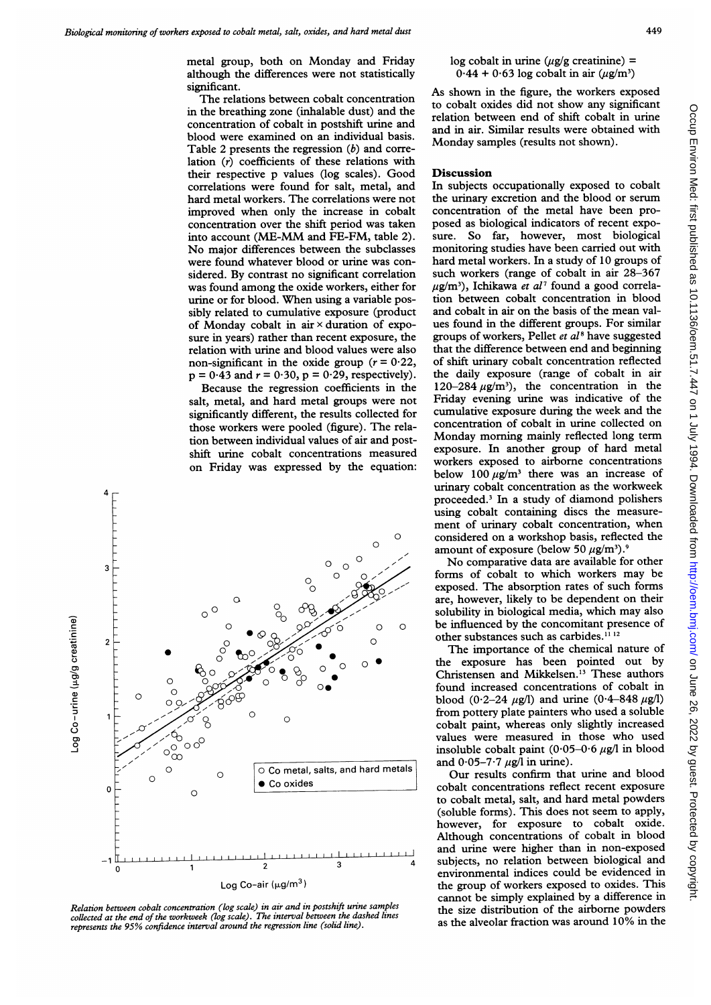metal group, both on Monday and Friday although the differences were not statistically significant.

The relations between cobalt concentration in the breathing zone (inhalable dust) and the concentration of cobalt in postshift urine and blood were examined on an individual basis. Table 2 presents the regression  $(b)$  and correlation (r) coefficients of these relations with their respective p values (log scales). Good correlations were found for salt, metal, and hard metal workers. The correlations were not improved when only the increase in cobalt concentration over the shift period was taken into account (ME-MM and FE-FM, table 2). No major differences between the subclasses were found whatever blood or urine was considered. By contrast no significant correlation was found among the oxide workers, either for urine or for blood. When using <sup>a</sup> variable possibly related to cumulative exposure (product of Monday cobalt in air  $\times$  duration of exposure in years) rather than recent exposure, the relation with urine and blood values were also non-significant in the oxide group ( $r = 0.22$ ,  $p = 0.43$  and  $r = 0.30$ ,  $p = 0.29$ , respectively).

Because the regression coefficients in the salt, metal, and hard metal groups were not significantly different, the results collected for those workers were pooled (figure). The relation between individual values of air and postshift urine cobalt concentrations measured on Friday was expressed by the equation:



Relation between cobalt concentration (log scale) in air and in postshift urine samples collected at the end of the workweek (log scale). The interval between the dashed lines represents the 95% confidence interval around the regression line (solid line).

 $log$  cobalt in urine ( $u\mathbf{g}/\mathbf{g}$  creatinine) =  $0.44 + 0.63 \log \text{ cobalt}$  in air  $(\mu \text{g/m}^3)$ 

As shown in the figure, the workers exposed to cobalt oxides did not show any significant relation between end of shift cobalt in urine and in air. Similar results were obtained with Monday samples (results not shown).

## Discussion

In subjects occupationally exposed to cobalt the urinary excretion and the blood or serum concentration of the metal have been proposed as biological indicators of recent exposure. So far, however, most biological monitoring studies have been carried out with hard metal workers. In a study of 10 groups of such workers (range of cobalt in air 28-367  $\mu$ g/m<sup>3</sup>), Ichikawa *et al*<sup>7</sup> found a good correlation between cobalt concentration in blood and cobalt in air on the basis of the mean values found in the different groups. For similar groups of workers, Pellet  $et$   $al$ <sup>8</sup> have suggested that the difference between end and beginning of shift urinary cobalt concentration reflected the daily exposure (range of cobalt in air 120-284  $\mu$ g/m<sup>3</sup>), the concentration in the Friday evening urine was indicative of the cumulative exposure during the week and the concentration of cobalt in urine collected on Monday morning mainly reflected long term exposure. In another group of hard metal workers exposed to airborne concentrations below 100  $\mu$ g/m<sup>3</sup> there was an increase of urinary cobalt concentration as the workweek proceeded.' In <sup>a</sup> study of diamond polishers using cobalt containing discs the measurement of urinary cobalt concentration, when considered on a workshop basis, reflected the amount of exposure (below 50  $\mu$ g/m<sup>3</sup>).<sup>9</sup>

No comparative data are available for other forms of cobalt to which workers may be exposed. The absorption rates of such forms are, however, likely to be dependent on their solubility in biological media, which may also be influenced by the concomitant presence of other substances such as carbides.<sup>11 12</sup>

The importance of the chemical nature of the exposure has been pointed out by Christensen and Mikkelsen.13 These authors found increased concentrations of cobalt in blood (0.2-24  $\mu$ g/l) and urine (0.4-848  $\mu$ g/l) from pottery plate painters who used <sup>a</sup> soluble cobalt paint, whereas only slightly increased values were measured in those who used insoluble cobalt paint  $(0.05-0.6 \mu g/l)$  in blood and  $0.05-7.7 \mu g/l$  in urine).

Our results confirm that urine and blood cobalt concentrations reflect recent exposure to cobalt metal, salt, and hard metal powders (soluble forms). This does not seem to apply, however, for exposure to cobalt oxide. Although concentrations of cobalt in blood and urine were higher than in non-exposed subjects, no relation between biological and environmental indices could be evidenced in the group of workers exposed to oxides. This cannot be simply explained by a difference in the size distribution of the airborne powders as the alveolar fraction was around 10% in the